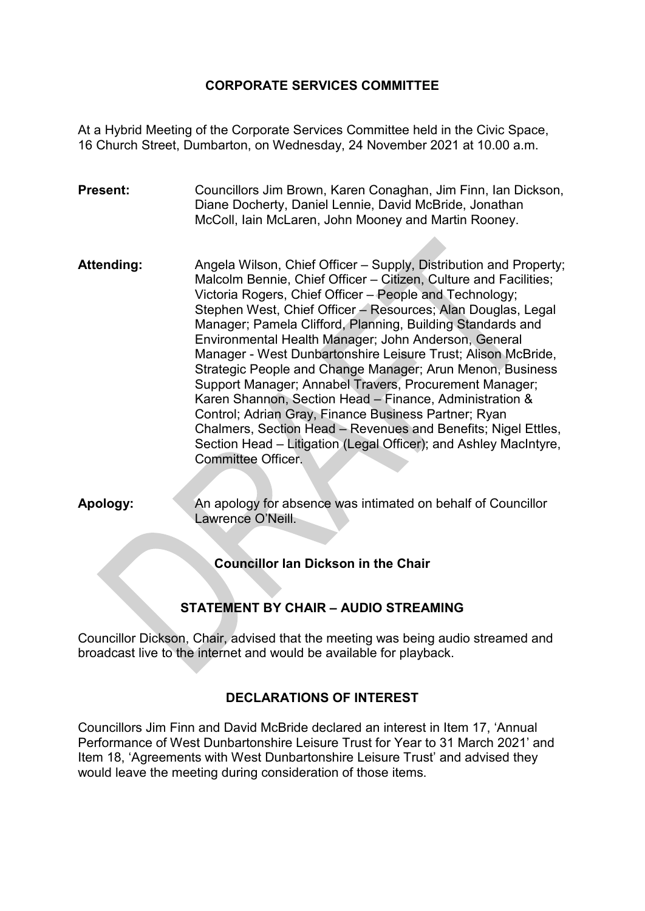# **CORPORATE SERVICES COMMITTEE**

At a Hybrid Meeting of the Corporate Services Committee held in the Civic Space, 16 Church Street, Dumbarton, on Wednesday, 24 November 2021 at 10.00 a.m.

**Present:** Councillors Jim Brown, Karen Conaghan, Jim Finn, Ian Dickson, Diane Docherty, Daniel Lennie, David McBride, Jonathan McColl, Iain McLaren, John Mooney and Martin Rooney.

Attending: Angela Wilson, Chief Officer – Supply, Distribution and Property; Malcolm Bennie, Chief Officer – Citizen, Culture and Facilities; Victoria Rogers, Chief Officer – People and Technology; Stephen West, Chief Officer – Resources; Alan Douglas, Legal Manager; Pamela Clifford, Planning, Building Standards and Environmental Health Manager; John Anderson, General Manager - West Dunbartonshire Leisure Trust; Alison McBride, Strategic People and Change Manager; Arun Menon, Business Support Manager; Annabel Travers, Procurement Manager; Karen Shannon, Section Head – Finance, Administration & Control; Adrian Gray, Finance Business Partner; Ryan Chalmers, Section Head – Revenues and Benefits; Nigel Ettles, Section Head – Litigation (Legal Officer); and Ashley MacIntyre, Committee Officer.

**Apology:** An apology for absence was intimated on behalf of Councillor Lawrence O'Neill.

**Councillor Ian Dickson in the Chair**

# **STATEMENT BY CHAIR – AUDIO STREAMING**

Councillor Dickson, Chair, advised that the meeting was being audio streamed and broadcast live to the internet and would be available for playback.

### **DECLARATIONS OF INTEREST**

Councillors Jim Finn and David McBride declared an interest in Item 17, 'Annual Performance of West Dunbartonshire Leisure Trust for Year to 31 March 2021' and Item 18, 'Agreements with West Dunbartonshire Leisure Trust' and advised they would leave the meeting during consideration of those items.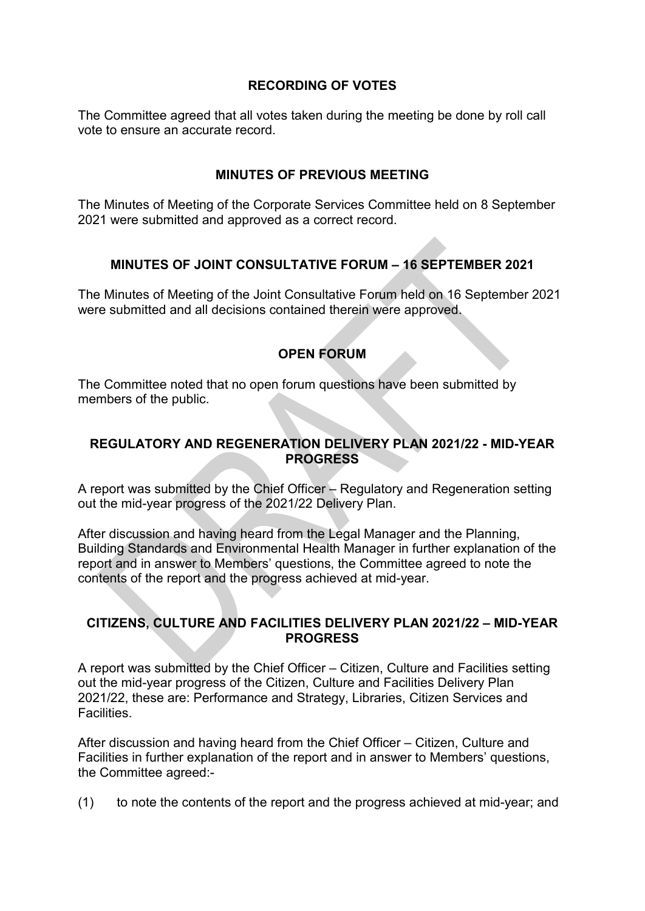# **RECORDING OF VOTES**

The Committee agreed that all votes taken during the meeting be done by roll call vote to ensure an accurate record.

# **MINUTES OF PREVIOUS MEETING**

The Minutes of Meeting of the Corporate Services Committee held on 8 September 2021 were submitted and approved as a correct record.

# **MINUTES OF JOINT CONSULTATIVE FORUM – 16 SEPTEMBER 2021**

The Minutes of Meeting of the Joint Consultative Forum held on 16 September 2021 were submitted and all decisions contained therein were approved.

# **OPEN FORUM**

The Committee noted that no open forum questions have been submitted by members of the public.

# **REGULATORY AND REGENERATION DELIVERY PLAN 2021/22 - MID-YEAR PROGRESS**

A report was submitted by the Chief Officer – Regulatory and Regeneration setting out the mid-year progress of the 2021/22 Delivery Plan.

After discussion and having heard from the Legal Manager and the Planning, Building Standards and Environmental Health Manager in further explanation of the report and in answer to Members' questions, the Committee agreed to note the contents of the report and the progress achieved at mid-year.

# **CITIZENS, CULTURE AND FACILITIES DELIVERY PLAN 2021/22 – MID-YEAR PROGRESS**

A report was submitted by the Chief Officer – Citizen, Culture and Facilities setting out the mid-year progress of the Citizen, Culture and Facilities Delivery Plan 2021/22, these are: Performance and Strategy, Libraries, Citizen Services and Facilities.

After discussion and having heard from the Chief Officer – Citizen, Culture and Facilities in further explanation of the report and in answer to Members' questions, the Committee agreed:-

(1) to note the contents of the report and the progress achieved at mid-year; and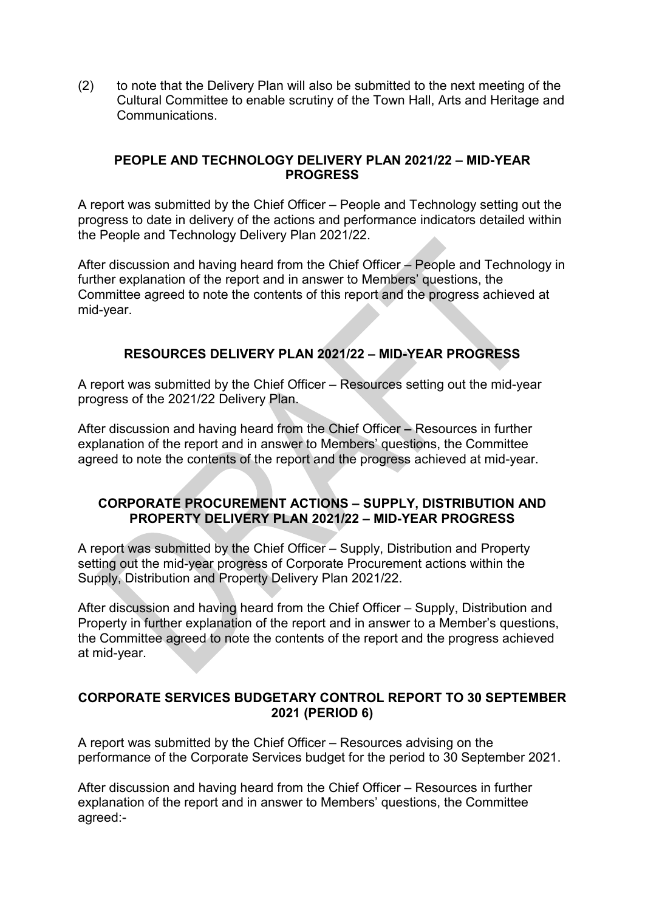(2) to note that the Delivery Plan will also be submitted to the next meeting of the Cultural Committee to enable scrutiny of the Town Hall, Arts and Heritage and Communications.

### **PEOPLE AND TECHNOLOGY DELIVERY PLAN 2021/22 – MID-YEAR PROGRESS**

A report was submitted by the Chief Officer – People and Technology setting out the progress to date in delivery of the actions and performance indicators detailed within the People and Technology Delivery Plan 2021/22.

After discussion and having heard from the Chief Officer – People and Technology in further explanation of the report and in answer to Members' questions, the Committee agreed to note the contents of this report and the progress achieved at mid-year.

# **RESOURCES DELIVERY PLAN 2021/22 – MID-YEAR PROGRESS**

A report was submitted by the Chief Officer – Resources setting out the mid-year progress of the 2021/22 Delivery Plan.

After discussion and having heard from the Chief Officer **–** Resources in further explanation of the report and in answer to Members' questions, the Committee agreed to note the contents of the report and the progress achieved at mid-year.

### **CORPORATE PROCUREMENT ACTIONS – SUPPLY, DISTRIBUTION AND PROPERTY DELIVERY PLAN 2021/22 – MID-YEAR PROGRESS**

A report was submitted by the Chief Officer – Supply, Distribution and Property setting out the mid-year progress of Corporate Procurement actions within the Supply, Distribution and Property Delivery Plan 2021/22.

After discussion and having heard from the Chief Officer – Supply, Distribution and Property in further explanation of the report and in answer to a Member's questions, the Committee agreed to note the contents of the report and the progress achieved at mid-year.

### **CORPORATE SERVICES BUDGETARY CONTROL REPORT TO 30 SEPTEMBER 2021 (PERIOD 6)**

A report was submitted by the Chief Officer – Resources advising on the performance of the Corporate Services budget for the period to 30 September 2021.

After discussion and having heard from the Chief Officer – Resources in further explanation of the report and in answer to Members' questions, the Committee agreed:-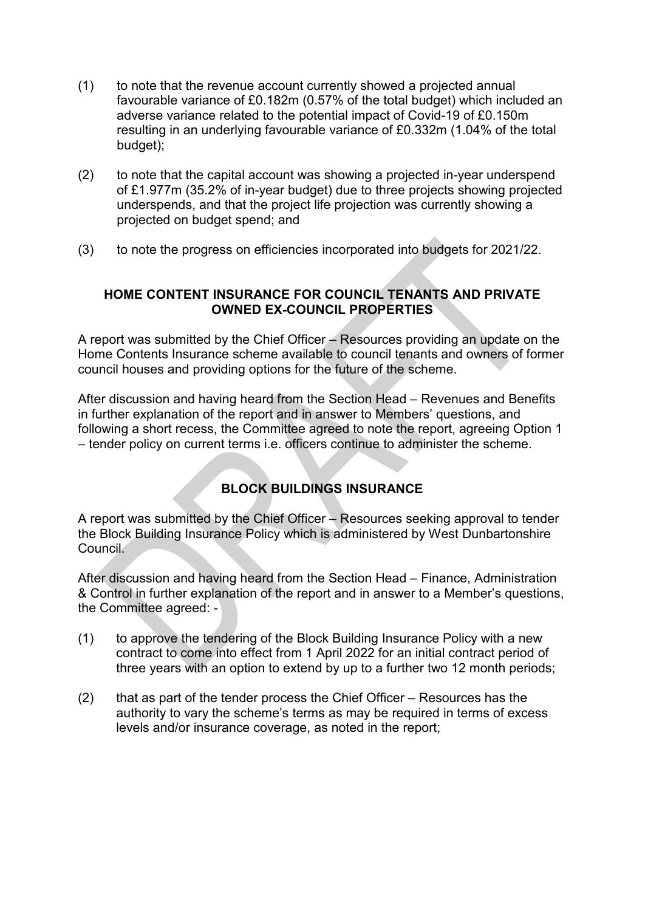- (1) to note that the revenue account currently showed a projected annual favourable variance of £0.182m (0.57% of the total budget) which included an adverse variance related to the potential impact of Covid-19 of £0.150m resulting in an underlying favourable variance of £0.332m (1.04% of the total budget);
- (2) to note that the capital account was showing a projected in-year underspend of £1.977m (35.2% of in-year budget) due to three projects showing projected underspends, and that the project life projection was currently showing a projected on budget spend; and
- (3) to note the progress on efficiencies incorporated into budgets for 2021/22.

# **HOME CONTENT INSURANCE FOR COUNCIL TENANTS AND PRIVATE OWNED EX-COUNCIL PROPERTIES**

A report was submitted by the Chief Officer – Resources providing an update on the Home Contents Insurance scheme available to council tenants and owners of former council houses and providing options for the future of the scheme.

After discussion and having heard from the Section Head – Revenues and Benefits in further explanation of the report and in answer to Members' questions, and following a short recess, the Committee agreed to note the report, agreeing Option 1 – tender policy on current terms i.e. officers continue to administer the scheme.

# **BLOCK BUILDINGS INSURANCE**

A report was submitted by the Chief Officer – Resources seeking approval to tender the Block Building Insurance Policy which is administered by West Dunbartonshire Council.

After discussion and having heard from the Section Head – Finance, Administration & Control in further explanation of the report and in answer to a Member's questions, the Committee agreed: -

- (1) to approve the tendering of the Block Building Insurance Policy with a new contract to come into effect from 1 April 2022 for an initial contract period of three years with an option to extend by up to a further two 12 month periods;
- (2) that as part of the tender process the Chief Officer Resources has the authority to vary the scheme's terms as may be required in terms of excess levels and/or insurance coverage, as noted in the report;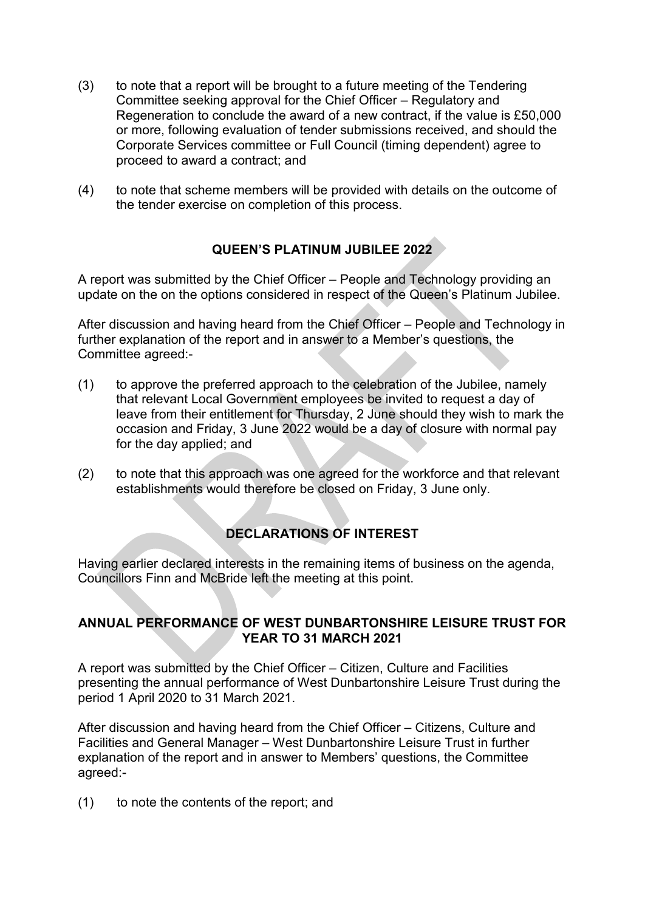- (3) to note that a report will be brought to a future meeting of the Tendering Committee seeking approval for the Chief Officer – Regulatory and Regeneration to conclude the award of a new contract, if the value is £50,000 or more, following evaluation of tender submissions received, and should the Corporate Services committee or Full Council (timing dependent) agree to proceed to award a contract; and
- (4) to note that scheme members will be provided with details on the outcome of the tender exercise on completion of this process.

# **QUEEN'S PLATINUM JUBILEE 2022**

A report was submitted by the Chief Officer – People and Technology providing an update on the on the options considered in respect of the Queen's Platinum Jubilee.

After discussion and having heard from the Chief Officer – People and Technology in further explanation of the report and in answer to a Member's questions, the Committee agreed:-

- (1) to approve the preferred approach to the celebration of the Jubilee, namely that relevant Local Government employees be invited to request a day of leave from their entitlement for Thursday, 2 June should they wish to mark the occasion and Friday, 3 June 2022 would be a day of closure with normal pay for the day applied; and
- (2) to note that this approach was one agreed for the workforce and that relevant establishments would therefore be closed on Friday, 3 June only.

# **DECLARATIONS OF INTEREST**

Having earlier declared interests in the remaining items of business on the agenda, Councillors Finn and McBride left the meeting at this point.

### **ANNUAL PERFORMANCE OF WEST DUNBARTONSHIRE LEISURE TRUST FOR YEAR TO 31 MARCH 2021**

A report was submitted by the Chief Officer – Citizen, Culture and Facilities presenting the annual performance of West Dunbartonshire Leisure Trust during the period 1 April 2020 to 31 March 2021.

After discussion and having heard from the Chief Officer – Citizens, Culture and Facilities and General Manager – West Dunbartonshire Leisure Trust in further explanation of the report and in answer to Members' questions, the Committee agreed:-

(1) to note the contents of the report; and